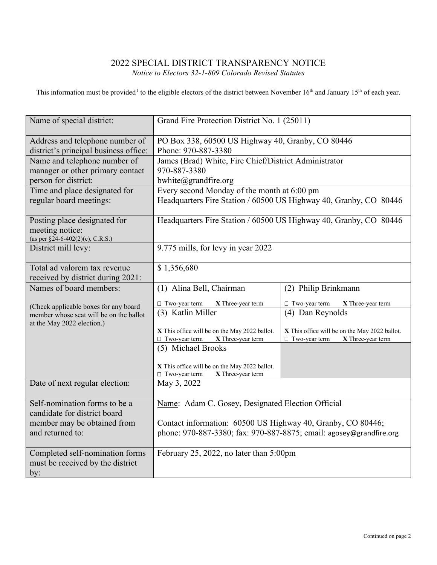## 2022 SPECIAL DISTRICT TRANSPARENCY NOTICE *Notice to Electors 32-1-809 Colorado Revised Statutes*

This information must be provided<sup>[1](#page-1-0)</sup> to the eligible electors of the district between November 16<sup>th</sup> and January 15<sup>th</sup> of each year.

| Name of special district:                                                           | Grand Fire Protection District No. 1 (25011)                                                                                       |                                               |  |
|-------------------------------------------------------------------------------------|------------------------------------------------------------------------------------------------------------------------------------|-----------------------------------------------|--|
| Address and telephone number of<br>district's principal business office:            | PO Box 338, 60500 US Highway 40, Granby, CO 80446<br>Phone: 970-887-3380                                                           |                                               |  |
| Name and telephone number of<br>manager or other primary contact                    | James (Brad) White, Fire Chief/District Administrator<br>970-887-3380                                                              |                                               |  |
| person for district:                                                                | bwhite@grandfire.org                                                                                                               |                                               |  |
| Time and place designated for<br>regular board meetings:                            | Every second Monday of the month at 6:00 pm<br>Headquarters Fire Station / 60500 US Highway 40, Granby, CO 80446                   |                                               |  |
| Posting place designated for<br>meeting notice:<br>(as per §24-6-402(2)(c), C.R.S.) | Headquarters Fire Station / 60500 US Highway 40, Granby, CO 80446                                                                  |                                               |  |
| District mill levy:                                                                 | 9.775 mills, for levy in year 2022                                                                                                 |                                               |  |
| Total ad valorem tax revenue<br>received by district during 2021:                   | \$1,356,680                                                                                                                        |                                               |  |
| Names of board members:                                                             | (1) Alina Bell, Chairman                                                                                                           | (2) Philip Brinkmann                          |  |
| (Check applicable boxes for any board                                               | □ Two-year term<br>X Three-year term                                                                                               | □ Two-year term<br>X Three-year term          |  |
| member whose seat will be on the ballot<br>at the May 2022 election.)               | (3) Katlin Miller                                                                                                                  | (4) Dan Reynolds                              |  |
|                                                                                     | X This office will be on the May 2022 ballot.                                                                                      | X This office will be on the May 2022 ballot. |  |
|                                                                                     | □ Two-year term<br>X Three-year term<br>(5) Michael Brooks                                                                         | X Three-year term<br>$\Box$ Two-year term     |  |
|                                                                                     | X This office will be on the May 2022 ballot.<br>□ Two-year term<br>X Three-year term                                              |                                               |  |
| Date of next regular election:                                                      | May 3, 2022                                                                                                                        |                                               |  |
| Self-nomination forms to be a<br>candidate for district board                       | Name: Adam C. Gosey, Designated Election Official                                                                                  |                                               |  |
| member may be obtained from<br>and returned to:                                     | Contact information: 60500 US Highway 40, Granby, CO 80446;<br>phone: 970-887-3380; fax: 970-887-8875; email: agosey@grandfire.org |                                               |  |
| Completed self-nomination forms<br>must be received by the district<br>by:          | February 25, 2022, no later than 5:00pm                                                                                            |                                               |  |